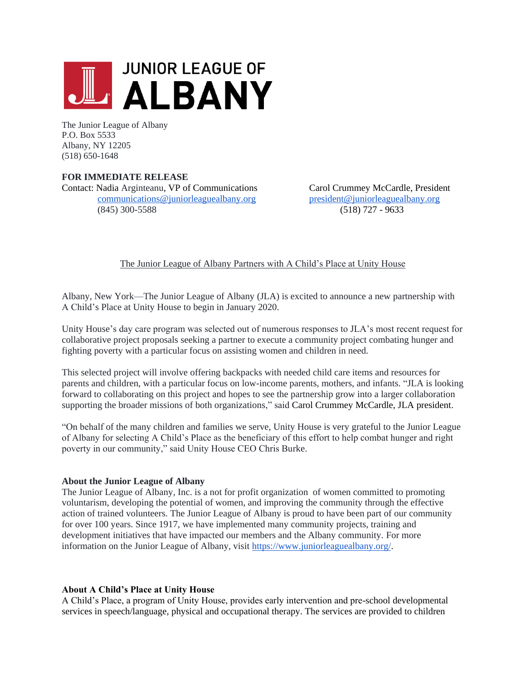

The Junior League of Albany P.O. Box 5533 Albany, NY 12205 (518) 650-1648

## **FOR IMMEDIATE RELEASE**

Contact: Nadia Arginteanu, VP of Communications Carol Crummey McCardle, President [communications@juniorleaguealbany.org](mailto:communications@juniorleaguealbany.org) [president@juniorleaguealbany.org](mailto:president@juniorleaguealbany.org) (845) 300-5588 (518) 727 - 9633

The Junior League of Albany Partners with A Child's Place at Unity House

Albany, New York—The Junior League of Albany (JLA) is excited to announce a new partnership with A Child's Place at Unity House to begin in January 2020.

Unity House's day care program was selected out of numerous responses to JLA's most recent request for collaborative project proposals seeking a partner to execute a community project combating hunger and fighting poverty with a particular focus on assisting women and children in need.

This selected project will involve offering backpacks with needed child care items and resources for parents and children, with a particular focus on low-income parents, mothers, and infants. "JLA is looking forward to collaborating on this project and hopes to see the partnership grow into a larger collaboration supporting the broader missions of both organizations," said Carol Crummey McCardle, JLA president.

"On behalf of the many children and families we serve, Unity House is very grateful to the Junior League of Albany for selecting A Child's Place as the beneficiary of this effort to help combat hunger and right poverty in our community," said Unity House CEO Chris Burke.

### **About the Junior League of Albany**

The Junior League of Albany, Inc. is a not for profit organization of women committed to promoting voluntarism, developing the potential of women, and improving the community through the effective action of trained volunteers. The Junior League of Albany is proud to have been part of our community for over 100 years. Since 1917, we have implemented many community projects, training and development initiatives that have impacted our members and the Albany community. For more information on the Junior League of Albany, visit [https://www.juniorleaguealbany.org/.](https://www.juniorleaguealbany.org/)

### **About A Child's Place at Unity House**

A Child's Place, a program of Unity House, provides early intervention and pre-school developmental services in speech/language, physical and occupational therapy. The services are provided to children